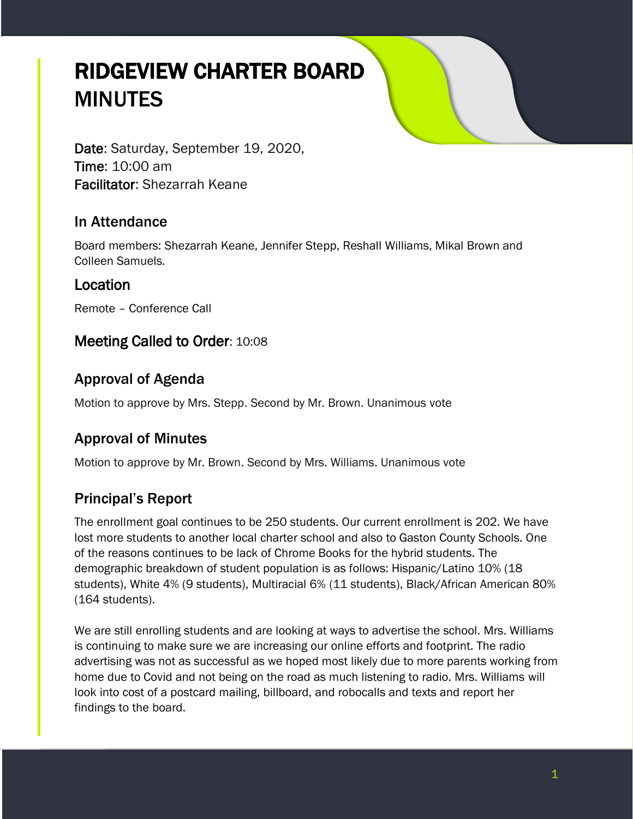# RIDGEVIEW CHARTER BOARD **MINUTES**

Date: Saturday, September 19, 2020, Time: 10:00 am Facilitator: Shezarrah Keane

### In Attendance

Board members: Shezarrah Keane, Jennifer Stepp, Reshall Williams, Mikal Brown and Colleen Samuels.

#### Location

Remote – Conference Call

### Meeting Called to Order: 10:08

## Approval of Agenda

Motion to approve by Mrs. Stepp. Second by Mr. Brown. Unanimous vote

# Approval of Minutes

Motion to approve by Mr. Brown. Second by Mrs. Williams. Unanimous vote

# Principal's Report

The enrollment goal continues to be 250 students. Our current enrollment is 202. We have lost more students to another local charter school and also to Gaston County Schools. One of the reasons continues to be lack of Chrome Books for the hybrid students. The demographic breakdown of student population is as follows: Hispanic/Latino 10% (18 students), White 4% (9 students), Multiracial 6% (11 students), Black/African American 80% (164 students).

We are still enrolling students and are looking at ways to advertise the school. Mrs. Williams is continuing to make sure we are increasing our online efforts and footprint. The radio advertising was not as successful as we hoped most likely due to more parents working from home due to Covid and not being on the road as much listening to radio. Mrs. Williams will look into cost of a postcard mailing, billboard, and robocalls and texts and report her findings to the board.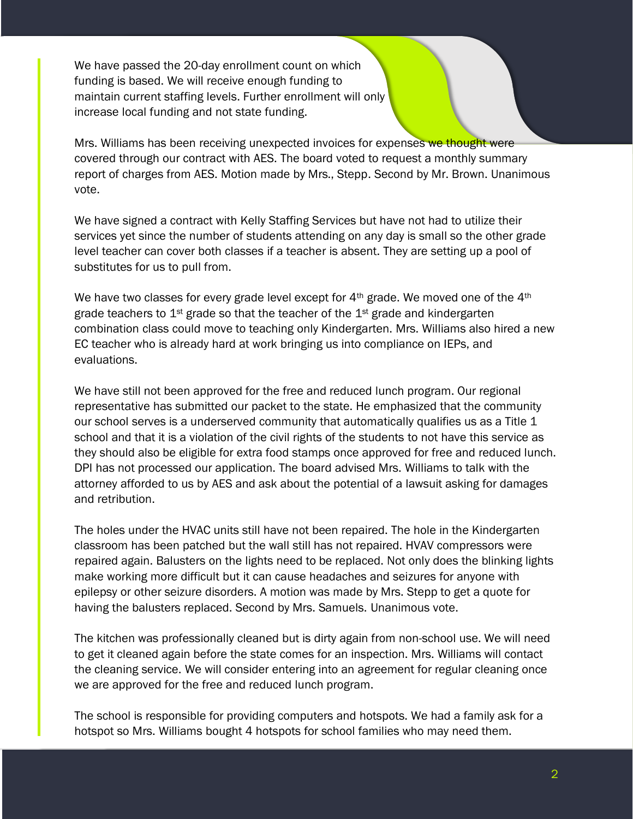We have passed the 20-day enrollment count on which funding is based. We will receive enough funding to maintain current staffing levels. Further enrollment will only increase local funding and not state funding.

Mrs. Williams has been receiving unexpected invoices for expenses we thought were covered through our contract with AES. The board voted to request a monthly summary report of charges from AES. Motion made by Mrs., Stepp. Second by Mr. Brown. Unanimous vote.

We have signed a contract with Kelly Staffing Services but have not had to utilize their services yet since the number of students attending on any day is small so the other grade level teacher can cover both classes if a teacher is absent. They are setting up a pool of substitutes for us to pull from.

We have two classes for every grade level except for  $4<sup>th</sup>$  grade. We moved one of the  $4<sup>th</sup>$ grade teachers to  $1<sup>st</sup>$  grade so that the teacher of the  $1<sup>st</sup>$  grade and kindergarten combination class could move to teaching only Kindergarten. Mrs. Williams also hired a new EC teacher who is already hard at work bringing us into compliance on IEPs, and evaluations.

We have still not been approved for the free and reduced lunch program. Our regional representative has submitted our packet to the state. He emphasized that the community our school serves is a underserved community that automatically qualifies us as a Title 1 school and that it is a violation of the civil rights of the students to not have this service as they should also be eligible for extra food stamps once approved for free and reduced lunch. DPI has not processed our application. The board advised Mrs. Williams to talk with the attorney afforded to us by AES and ask about the potential of a lawsuit asking for damages and retribution.

The holes under the HVAC units still have not been repaired. The hole in the Kindergarten classroom has been patched but the wall still has not repaired. HVAV compressors were repaired again. Balusters on the lights need to be replaced. Not only does the blinking lights make working more difficult but it can cause headaches and seizures for anyone with epilepsy or other seizure disorders. A motion was made by Mrs. Stepp to get a quote for having the balusters replaced. Second by Mrs. Samuels. Unanimous vote.

The kitchen was professionally cleaned but is dirty again from non-school use. We will need to get it cleaned again before the state comes for an inspection. Mrs. Williams will contact the cleaning service. We will consider entering into an agreement for regular cleaning once we are approved for the free and reduced lunch program.

The school is responsible for providing computers and hotspots. We had a family ask for a hotspot so Mrs. Williams bought 4 hotspots for school families who may need them.